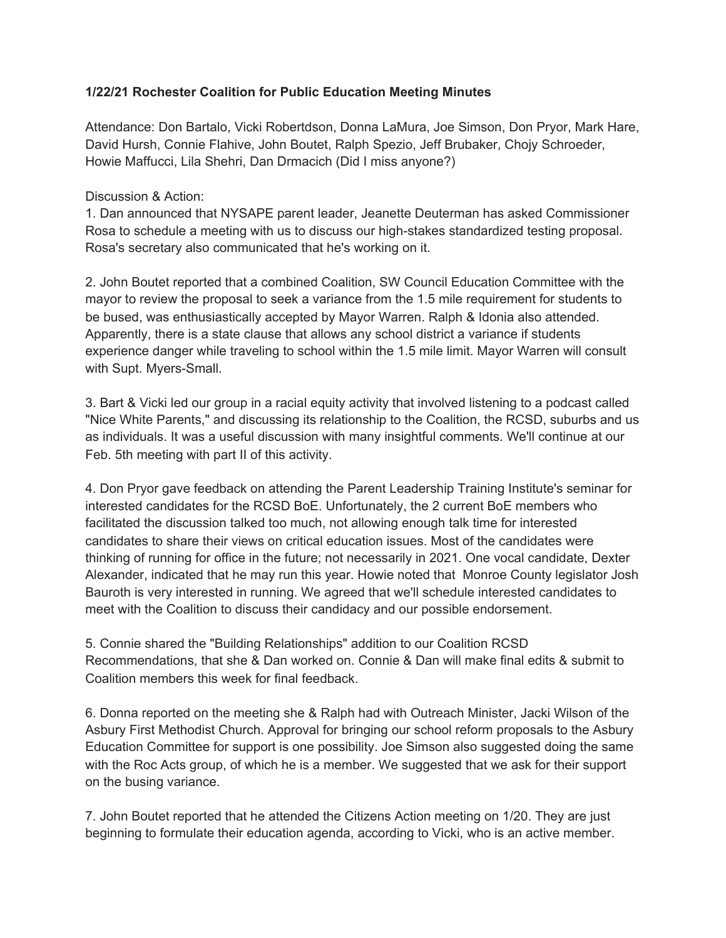## **1/22/21 Rochester Coalition for Public Education Meeting Minutes**

Attendance: Don Bartalo, Vicki Robertdson, Donna LaMura, Joe Simson, Don Pryor, Mark Hare, David Hursh, Connie Flahive, John Boutet, Ralph Spezio, Jeff Brubaker, Chojy Schroeder, Howie Maffucci, Lila Shehri, Dan Drmacich (Did I miss anyone?)

Discussion & Action:

1. Dan announced that NYSAPE parent leader, Jeanette Deuterman has asked Commissioner Rosa to schedule a meeting with us to discuss our high-stakes standardized testing proposal. Rosa's secretary also communicated that he's working on it.

2. John Boutet reported that a combined Coalition, SW Council Education Committee with the mayor to review the proposal to seek a variance from the 1.5 mile requirement for students to be bused, was enthusiastically accepted by Mayor Warren. Ralph & Idonia also attended. Apparently, there is a state clause that allows any school district a variance if students experience danger while traveling to school within the 1.5 mile limit. Mayor Warren will consult with Supt. Myers-Small.

3. Bart & Vicki led our group in a racial equity activity that involved listening to a podcast called "Nice White Parents," and discussing its relationship to the Coalition, the RCSD, suburbs and us as individuals. It was a useful discussion with many insightful comments. We'll continue at our Feb. 5th meeting with part II of this activity.

4. Don Pryor gave feedback on attending the Parent Leadership Training Institute's seminar for interested candidates for the RCSD BoE. Unfortunately, the 2 current BoE members who facilitated the discussion talked too much, not allowing enough talk time for interested candidates to share their views on critical education issues. Most of the candidates were thinking of running for office in the future; not necessarily in 2021. One vocal candidate, Dexter Alexander, indicated that he may run this year. Howie noted that Monroe County legislator Josh Bauroth is very interested in running. We agreed that we'll schedule interested candidates to meet with the Coalition to discuss their candidacy and our possible endorsement.

5. Connie shared the "Building Relationships" addition to our Coalition RCSD Recommendations, that she & Dan worked on. Connie & Dan will make final edits & submit to Coalition members this week for final feedback.

6. Donna reported on the meeting she & Ralph had with Outreach Minister, Jacki Wilson of the Asbury First Methodist Church. Approval for bringing our school reform proposals to the Asbury Education Committee for support is one possibility. Joe Simson also suggested doing the same with the Roc Acts group, of which he is a member. We suggested that we ask for their support on the busing variance.

7. John Boutet reported that he attended the Citizens Action meeting on 1/20. They are just beginning to formulate their education agenda, according to Vicki, who is an active member.